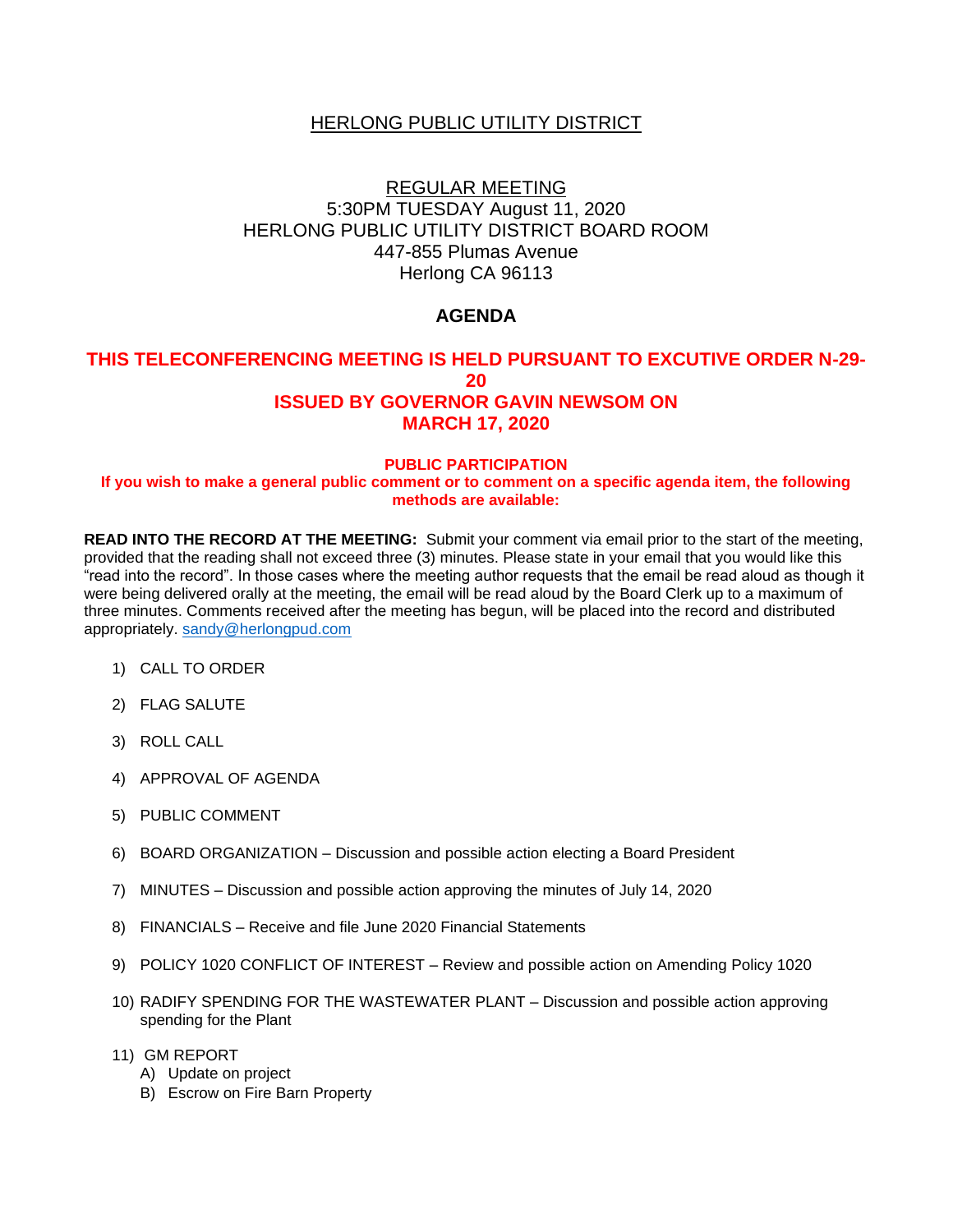## **HERLONG PUBLIC UTILITY DISTRICT**

# REGULAR MEETING 5:30PM TUESDAY August 11, 2020 HERLONG PUBLIC UTILITY DISTRICT BOARD ROOM 447-855 Plumas Avenue Herlong CA 96113

## **AGENDA**

#### **THIS TELECONFERENCING MEETING IS HELD PURSUANT TO EXCUTIVE ORDER N-29- 20 ISSUED BY GOVERNOR GAVIN NEWSOM ON MARCH 17, 2020**

#### **PUBLIC PARTICIPATION If you wish to make a general public comment or to comment on a specific agenda item, the following methods are available:**

**READ INTO THE RECORD AT THE MEETING:** Submit your comment via email prior to the start of the meeting, provided that the reading shall not exceed three (3) minutes. Please state in your email that you would like this "read into the record". In those cases where the meeting author requests that the email be read aloud as though it were being delivered orally at the meeting, the email will be read aloud by the Board Clerk up to a maximum of three minutes. Comments received after the meeting has begun, will be placed into the record and distributed appropriately. [sandy@herlongpud.com](mailto:sandy@herlongpud.com)

- 1) CALL TO ORDER
- 2) FLAG SALUTE
- 3) ROLL CALL
- 4) APPROVAL OF AGENDA
- 5) PUBLIC COMMENT
- 6) BOARD ORGANIZATION Discussion and possible action electing a Board President
- 7) MINUTES Discussion and possible action approving the minutes of July 14, 2020
- 8) FINANCIALS Receive and file June 2020 Financial Statements
- 9) POLICY 1020 CONFLICT OF INTEREST Review and possible action on Amending Policy 1020
- 10) RADIFY SPENDING FOR THE WASTEWATER PLANT Discussion and possible action approving spending for the Plant
- 11) GM REPORT
	- A) Update on project
	- B) Escrow on Fire Barn Property